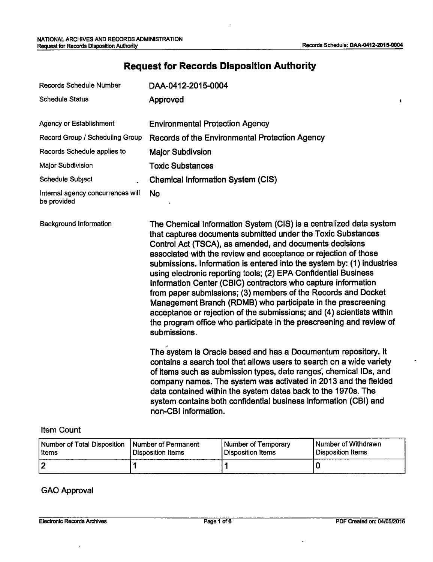$\pmb{\ast}$ 

# **Request for Records Disposition Authority**

| <b>Records Schedule Number</b>                   | DAA-0412-2015-0004                                                                                                                                                                                                                                                                                                                                                                                                                                                                                                                                                                                                                                                                                                                                                               |  |  |
|--------------------------------------------------|----------------------------------------------------------------------------------------------------------------------------------------------------------------------------------------------------------------------------------------------------------------------------------------------------------------------------------------------------------------------------------------------------------------------------------------------------------------------------------------------------------------------------------------------------------------------------------------------------------------------------------------------------------------------------------------------------------------------------------------------------------------------------------|--|--|
| <b>Schedule Status</b>                           | Approved                                                                                                                                                                                                                                                                                                                                                                                                                                                                                                                                                                                                                                                                                                                                                                         |  |  |
| <b>Agency or Establishment</b>                   |                                                                                                                                                                                                                                                                                                                                                                                                                                                                                                                                                                                                                                                                                                                                                                                  |  |  |
|                                                  | <b>Environmental Protection Agency</b>                                                                                                                                                                                                                                                                                                                                                                                                                                                                                                                                                                                                                                                                                                                                           |  |  |
| Record Group / Scheduling Group                  | Records of the Environmental Protection Agency                                                                                                                                                                                                                                                                                                                                                                                                                                                                                                                                                                                                                                                                                                                                   |  |  |
| Records Schedule applies to                      | <b>Major Subdivsion</b>                                                                                                                                                                                                                                                                                                                                                                                                                                                                                                                                                                                                                                                                                                                                                          |  |  |
| Major Subdivision                                | <b>Toxic Substances</b>                                                                                                                                                                                                                                                                                                                                                                                                                                                                                                                                                                                                                                                                                                                                                          |  |  |
| <b>Schedule Subject</b>                          | <b>Chemical Information System (CIS)</b>                                                                                                                                                                                                                                                                                                                                                                                                                                                                                                                                                                                                                                                                                                                                         |  |  |
| Internal agency concurrences will<br>be provided | <b>No</b>                                                                                                                                                                                                                                                                                                                                                                                                                                                                                                                                                                                                                                                                                                                                                                        |  |  |
| <b>Background Information</b>                    | The Chemical Information System (CIS) is a centralized data system<br>that captures documents submitted under the Toxic Substances<br>Control Act (TSCA), as amended, and documents decisions<br>associated with the review and acceptance or rejection of those<br>submissions. Information is entered into the system by: (1) industries<br>using electronic reporting tools; (2) EPA Confidential Business<br>Information Center (CBIC) contractors who capture information<br>from paper submissions; (3) members of the Records and Docket<br>Management Branch (RDMB) who participate in the prescreening<br>acceptance or rejection of the submissions; and (4) scientists within<br>the program office who participate in the prescreening and review of<br>submissions. |  |  |
|                                                  | The system is Oracle based and has a Documentum repository. It<br>contains a search tool that allows users to search on a wide variety<br>of items such as submission types, date ranges, chemical IDs, and<br>company names. The system was activated in 2013 and the fielded<br>data contained within the system dates back to the 1970s. The<br>system contains both confidential business information (CBI) and<br>non-CBI information.                                                                                                                                                                                                                                                                                                                                      |  |  |

#### Item Count

| Number of Total Disposition | <b>Number of Permanent</b> | Number of Temporary | l Number of Withdrawn |
|-----------------------------|----------------------------|---------------------|-----------------------|
| l Items                     | Disposition Items          | Disposition Items   | Disposition Items     |
| ר ו                         |                            |                     |                       |

#### GAO Approval

 $\bar{.}$ 

 $\ddot{\phantom{a}}$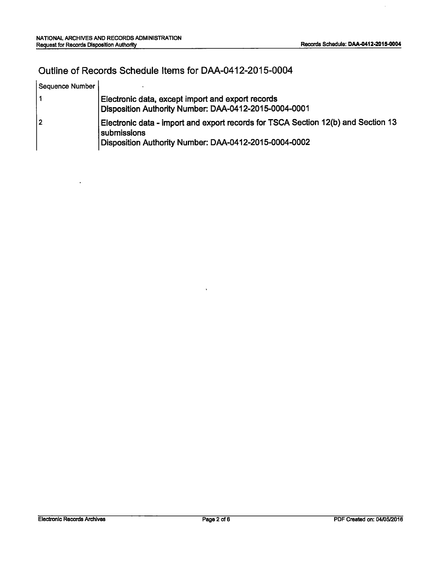l,

 $\ddot{\phantom{a}}$ 

## Outline of Records Schedule Items for DAA-0412-2015-0004

| Sequence Number |                                                                                                                                                           |
|-----------------|-----------------------------------------------------------------------------------------------------------------------------------------------------------|
|                 | Electronic data, except import and export records<br>Disposition Authority Number: DAA-0412-2015-0004-0001                                                |
| 2 ا             | Electronic data - import and export records for TSCA Section 12(b) and Section 13<br>submissions<br>Disposition Authority Number: DAA-0412-2015-0004-0002 |

 $\ddot{\phantom{a}}$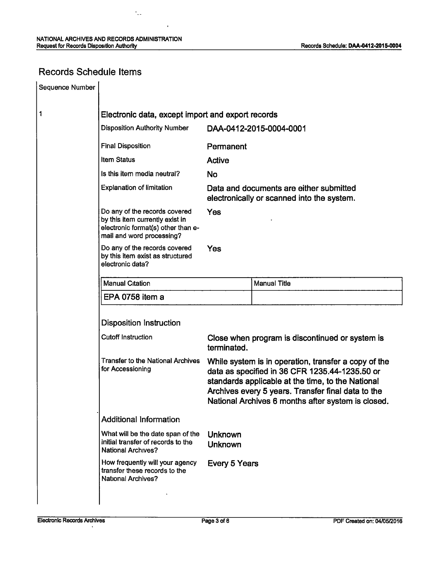$\ddot{\phantom{a}}$ 

 $\ddot{\phantom{0}}$ 

### Records Schedule Items

| Sequence Number |                                                                                                                                     |                                                                                                                                                                                                                                                                         |                     |  |
|-----------------|-------------------------------------------------------------------------------------------------------------------------------------|-------------------------------------------------------------------------------------------------------------------------------------------------------------------------------------------------------------------------------------------------------------------------|---------------------|--|
| 1               | Electronic data, except import and export records                                                                                   |                                                                                                                                                                                                                                                                         |                     |  |
|                 | <b>Disposition Authority Number</b><br>DAA-0412-2015-0004-0001                                                                      |                                                                                                                                                                                                                                                                         |                     |  |
|                 | <b>Final Disposition</b>                                                                                                            | Permanent                                                                                                                                                                                                                                                               |                     |  |
|                 | Item Status                                                                                                                         | <b>Active</b>                                                                                                                                                                                                                                                           |                     |  |
|                 | Is this item media neutral?                                                                                                         | <b>No</b>                                                                                                                                                                                                                                                               |                     |  |
|                 | <b>Explanation of limitation</b>                                                                                                    | Data and documents are either submitted<br>electronically or scanned into the system.                                                                                                                                                                                   |                     |  |
|                 | Do any of the records covered<br>by this item currently exist in<br>electronic format(s) other than e-<br>mail and word processing? | Yes                                                                                                                                                                                                                                                                     |                     |  |
|                 | Do any of the records covered<br>by this item exist as structured<br>electronic data?                                               | Yes                                                                                                                                                                                                                                                                     |                     |  |
|                 | <b>Manual Citation</b>                                                                                                              |                                                                                                                                                                                                                                                                         | <b>Manual Title</b> |  |
|                 | EPA 0758 item a                                                                                                                     |                                                                                                                                                                                                                                                                         |                     |  |
|                 | <b>Disposition Instruction</b>                                                                                                      |                                                                                                                                                                                                                                                                         |                     |  |
|                 | <b>Cutoff Instruction</b>                                                                                                           | Close when program is discontinued or system is<br>terminated.                                                                                                                                                                                                          |                     |  |
|                 | <b>Transfer to the National Archives</b><br>for Accessioning                                                                        | While system is in operation, transfer a copy of the<br>data as specified in 36 CFR 1235.44-1235.50 or<br>standards applicable at the time, to the National<br>Archives every 5 years. Transfer final data to the<br>National Archives 6 months after system is closed. |                     |  |
|                 | <b>Additional Information</b>                                                                                                       |                                                                                                                                                                                                                                                                         |                     |  |
|                 | What will be the date span of the<br>initial transfer of records to the<br><b>National Archives?</b>                                | <b>Unknown</b><br>Unknown                                                                                                                                                                                                                                               |                     |  |
|                 | How frequently will your agency<br>transfer these records to the<br><b>National Archives?</b>                                       | Every 5 Years                                                                                                                                                                                                                                                           |                     |  |
|                 |                                                                                                                                     |                                                                                                                                                                                                                                                                         |                     |  |

 $\overline{\phantom{a}}$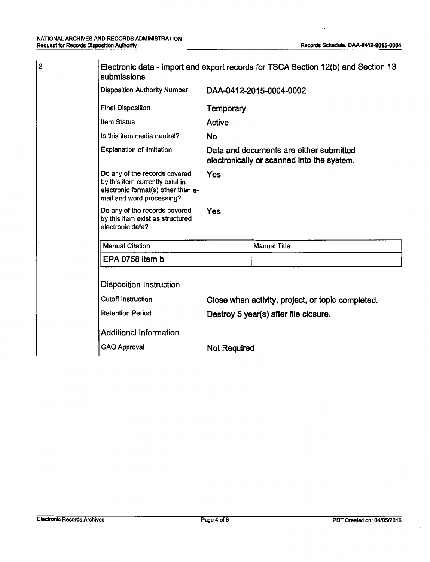$\overline{\phantom{a}}$ 

 $|2\rangle$ 

| Electronic data - import and export records for TSCA Section 12(b) and Section 13<br>submissions                                    |                                                                                       |                     |  |
|-------------------------------------------------------------------------------------------------------------------------------------|---------------------------------------------------------------------------------------|---------------------|--|
| <b>Disposition Authority Number</b>                                                                                                 | DAA-0412-2015-0004-0002                                                               |                     |  |
| Final Disposition                                                                                                                   | Temporary                                                                             |                     |  |
| <b>Item Status</b>                                                                                                                  | <b>Active</b>                                                                         |                     |  |
| Is this item media neutral?                                                                                                         | No                                                                                    |                     |  |
| <b>Explanation of limitation</b>                                                                                                    | Data and documents are either submitted<br>electronically or scanned into the system. |                     |  |
| Do any of the records covered<br>by this item currently exist in<br>electronic format(s) other than e-<br>mail and word processing? | Yes                                                                                   |                     |  |
| Do any of the records covered<br>by this item exist as structured<br>electronic data?                                               | Yes                                                                                   |                     |  |
| <b>Manual Citation</b>                                                                                                              |                                                                                       | <b>Manual Title</b> |  |
| EPA 0758 item b                                                                                                                     |                                                                                       |                     |  |
| <b>Disposition Instruction</b>                                                                                                      |                                                                                       |                     |  |
| <b>Cutoff Instruction</b>                                                                                                           | Close when activity, project, or topic completed.                                     |                     |  |
| <b>Retention Period</b>                                                                                                             | Destroy 5 year(s) after file closure.                                                 |                     |  |
| <b>Additional Information</b>                                                                                                       |                                                                                       |                     |  |
| <b>GAO Approval</b>                                                                                                                 | <b>Not Required</b>                                                                   |                     |  |